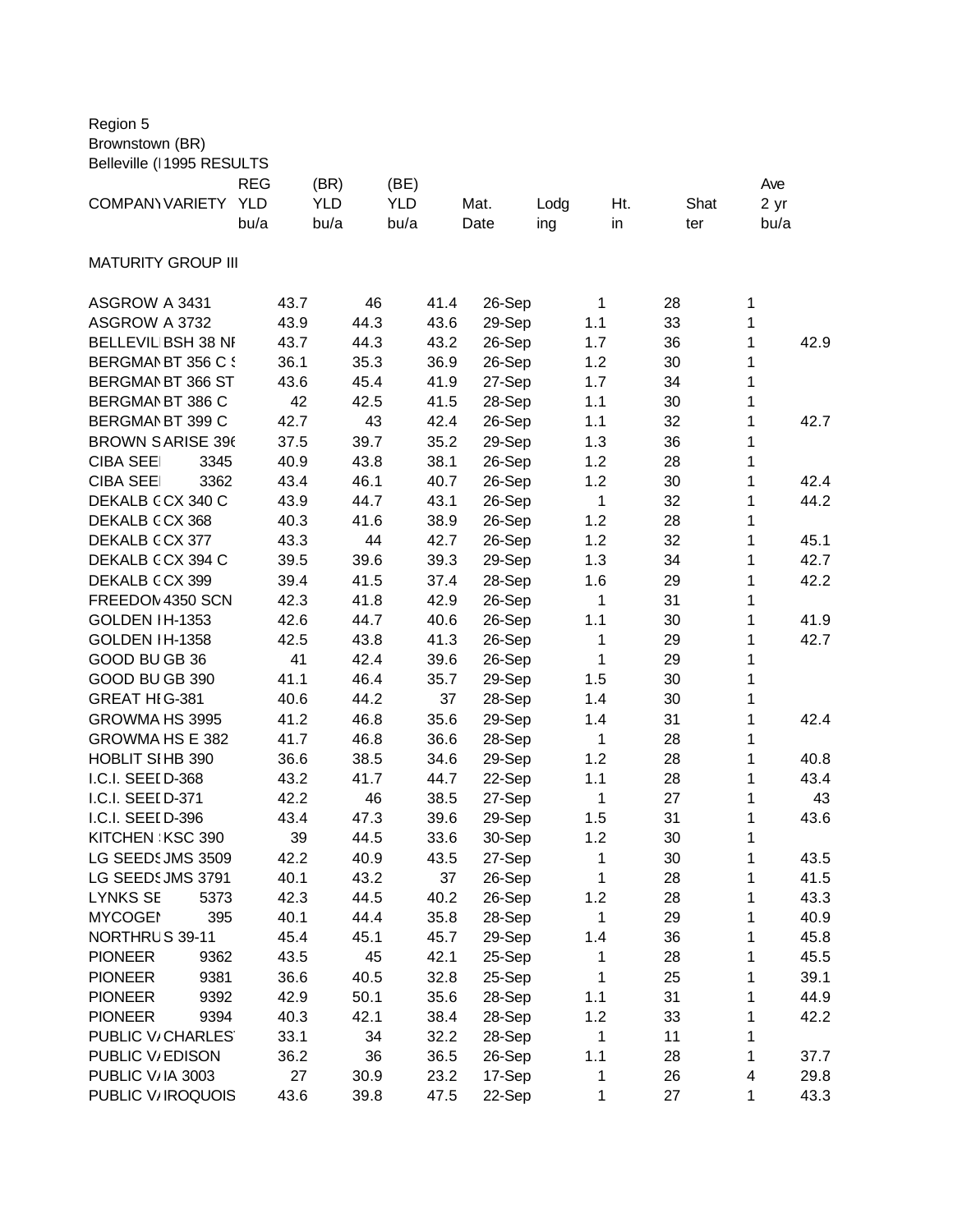| Region 5 |  |
|----------|--|
|----------|--|

Brownstown (BR)

| Belleville (I 1995 RESULTS |            |            |            |        |      |                    |      |      |
|----------------------------|------------|------------|------------|--------|------|--------------------|------|------|
|                            | <b>REG</b> | (BR)       | (BE)       |        |      |                    |      | Ave  |
| <b>COMPANYVARIETY</b>      | <b>YLD</b> | <b>YLD</b> | <b>YLD</b> | Mat.   | Lodg | Ht.                | Shat | 2 yr |
|                            | bu/a       | bu/a       | bu/a       | Date   | ing  | in                 | ter  | bu/a |
|                            |            |            |            |        |      |                    |      |      |
| <b>MATURITY GROUP III</b>  |            |            |            |        |      |                    |      |      |
|                            |            |            |            |        |      |                    |      |      |
| ASGROW A 3431              | 43.7       | 46         | 41.4       | 26-Sep |      | $\mathbf{1}$<br>28 | 1    |      |
| ASGROW A 3732              | 43.9       | 44.3       | 43.6       | 29-Sep | 1.1  | 33                 | 1    |      |
| BELLEVIL BSH 38 NF         | 43.7       | 44.3       | 43.2       | 26-Sep |      | 36<br>1.7          | 1    | 42.9 |
| BERGMAN BT 356 C {         | 36.1       | 35.3       | 36.9       | 26-Sep |      | 30<br>1.2          | 1    |      |
| BERGMAN BT 366 ST          | 43.6       | 45.4       | 41.9       | 27-Sep |      | 1.7<br>34          | 1    |      |
| BERGMAN BT 386 C           | 42         | 42.5       | 41.5       | 28-Sep | 1.1  | 30                 | 1    |      |
| BERGMAN BT 399 C           | 42.7       | 43         | 42.4       | 26-Sep | 1.1  | 32                 | 1    | 42.7 |
| <b>BROWN SARISE 396</b>    | 37.5       | 39.7       | 35.2       | 29-Sep |      | 1.3<br>36          | 1    |      |
| <b>CIBA SEE</b><br>3345    | 40.9       | 43.8       | 38.1       | 26-Sep |      | 1.2<br>28          | 1    |      |
| <b>CIBA SEE</b><br>3362    | 43.4       | 46.1       | 40.7       | 26-Sep |      | 1.2<br>30          | 1    | 42.4 |
| DEKALB CCX 340 C           | 43.9       | 44.7       | 43.1       | 26-Sep |      | $\mathbf{1}$<br>32 | 1    | 44.2 |
| DEKALB CCX 368             | 40.3       | 41.6       | 38.9       | 26-Sep |      | 1.2<br>28          | 1    |      |
| DEKALB CCX 377             | 43.3       | 44         | 42.7       | 26-Sep |      | 1.2<br>32          | 1    | 45.1 |
| DEKALB CCX 394 C           | 39.5       | 39.6       | 39.3       | 29-Sep |      | 1.3<br>34          | 1    | 42.7 |
| DEKALB CCX 399             | 39.4       | 41.5       | 37.4       | 28-Sep | 1.6  | 29                 | 1    | 42.2 |
| FREEDOM 4350 SCN           | 42.3       | 41.8       | 42.9       | 26-Sep |      | $\mathbf{1}$<br>31 | 1    |      |
| <b>GOLDEN IH-1353</b>      | 42.6       | 44.7       | 40.6       | 26-Sep | 1.1  | 30                 | 1    | 41.9 |
| GOLDEN IH-1358             | 42.5       | 43.8       | 41.3       | 26-Sep |      | 1<br>29            | 1    | 42.7 |
| GOOD BU GB 36              | 41         | 42.4       | 39.6       | 26-Sep |      | 1<br>29            | 1    |      |
| GOOD BU GB 390             | 41.1       | 46.4       | 35.7       | 29-Sep | 1.5  | 30                 | 1    |      |
| GREAT HIG-381              | 40.6       | 44.2       | 37         | 28-Sep |      | 1.4<br>30          | 1    |      |
| GROWMA HS 3995             | 41.2       | 46.8       | 35.6       | 29-Sep | 1.4  | 31                 | 1    | 42.4 |
| GROWMA HS E 382            | 41.7       | 46.8       | 36.6       | 28-Sep |      | 1<br>28            | 1    |      |
| HOBLIT SIHB 390            | 36.6       | 38.5       | 34.6       | 29-Sep |      | 28<br>1.2          | 1    | 40.8 |
| I.C.I. SEEI D-368          | 43.2       | 41.7       | 44.7       | 22-Sep | 1.1  | 28                 | 1    | 43.4 |
| I.C.I. SEEI D-371          | 42.2       | 46         | 38.5       | 27-Sep |      | 1<br>27            | 1    | 43   |
| I.C.I. SEEI D-396          | 43.4       | 47.3       | 39.6       | 29-Sep |      | 1.5<br>31          | 1    | 43.6 |
| KITCHEN KSC 390            | 39         | 44.5       | 33.6       | 30-Sep |      | 1.2<br>30          | 1    |      |
| LG SEEDS JMS 3509          | 42.2       | 40.9       | 43.5       | 27-Sep |      | $\mathbf{1}$<br>30 | 1    | 43.5 |
| LG SEEDS JMS 3791          | 40.1       | 43.2       | 37         | 26-Sep |      | 1<br>28            | 1    | 41.5 |
| <b>LYNKS SE</b><br>5373    | 42.3       | 44.5       | 40.2       | 26-Sep |      | 1.2<br>28          | 1    | 43.3 |
| <b>MYCOGEI</b><br>395      | 40.1       | 44.4       | 35.8       | 28-Sep |      | 1<br>29            | 1    | 40.9 |
| NORTHRUS 39-11             | 45.4       | 45.1       | 45.7       | 29-Sep |      | 1.4<br>36          | 1    | 45.8 |
| <b>PIONEER</b><br>9362     | 43.5       | 45         | 42.1       | 25-Sep |      | 28<br>1            | 1    | 45.5 |
| <b>PIONEER</b><br>9381     | 36.6       | 40.5       | 32.8       | 25-Sep |      | 1<br>25            | 1    | 39.1 |
| 9392<br><b>PIONEER</b>     | 42.9       | 50.1       | 35.6       | 28-Sep | 1.1  | 31                 | 1    | 44.9 |
| <b>PIONEER</b><br>9394     | 40.3       | 42.1       | 38.4       | 28-Sep |      | 1.2<br>33          | 1    | 42.2 |
| PUBLIC V/CHARLES           | 33.1       | 34         | 32.2       | 28-Sep |      | 1<br>11            | 1    |      |
| PUBLIC V/EDISON            | 36.2       | 36         | 36.5       | 26-Sep | 1.1  | 28                 | 1    | 37.7 |
| PUBLIC V/IA 3003           | 27         | 30.9       | 23.2       | 17-Sep |      | 26<br>1            | 4    | 29.8 |
| PUBLIC V/IROQUOIS          | 43.6       | 39.8       | 47.5       | 22-Sep |      | 1<br>27            | 1    | 43.3 |
|                            |            |            |            |        |      |                    |      |      |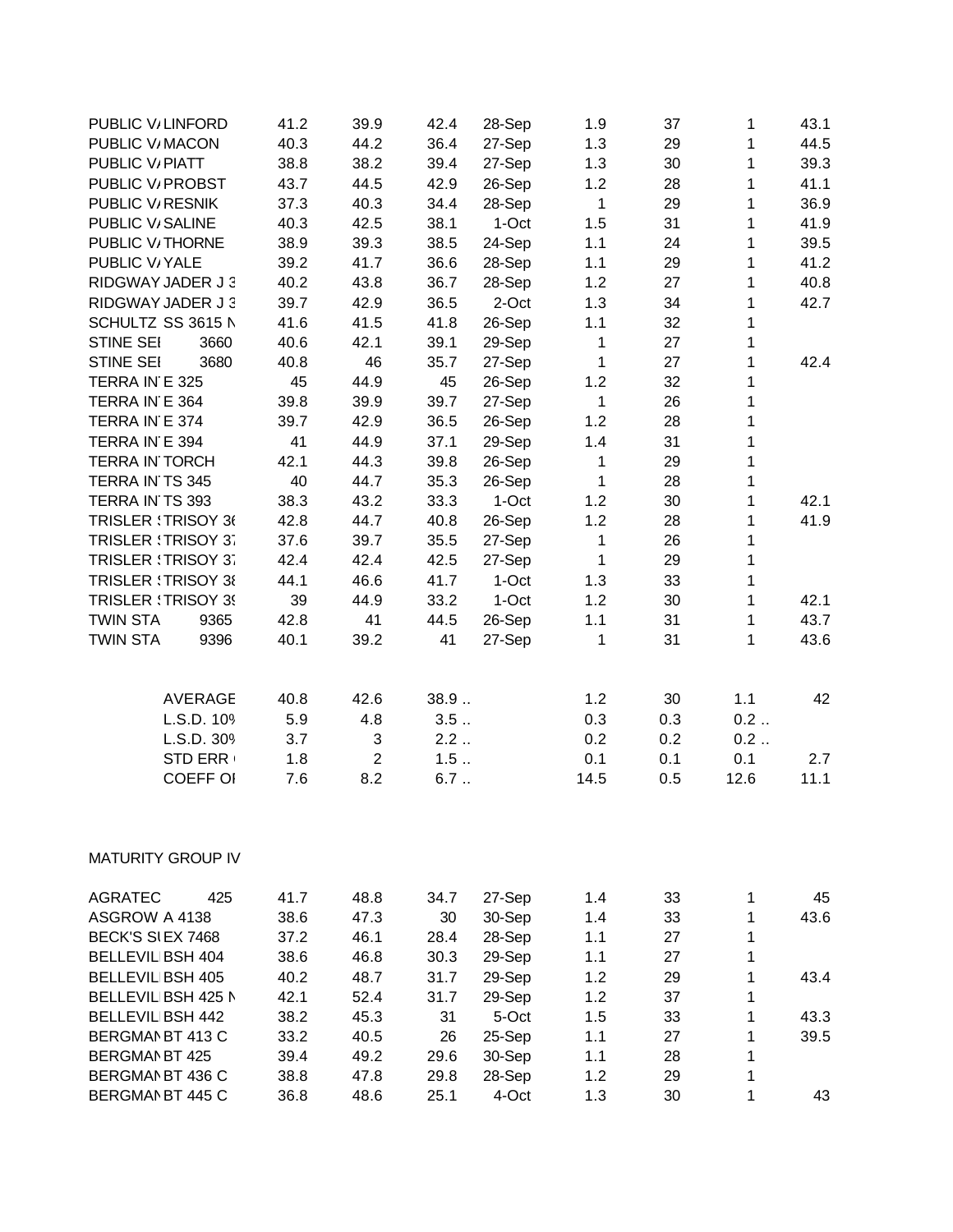| PUBLIC V/LINFORD           |                 | 41.2 | 39.9           | 42.4 | 28-Sep | 1.9          | 37  | $\mathbf{1}$ | 43.1 |
|----------------------------|-----------------|------|----------------|------|--------|--------------|-----|--------------|------|
| PUBLIC V/MACON             |                 | 40.3 | 44.2           | 36.4 | 27-Sep | 1.3          | 29  | $\mathbf{1}$ | 44.5 |
| PUBLIC V/PIATT             |                 | 38.8 | 38.2           | 39.4 | 27-Sep | 1.3          | 30  | $\mathbf{1}$ | 39.3 |
| PUBLIC V/ PROBST           |                 | 43.7 | 44.5           | 42.9 | 26-Sep | 1.2          | 28  | 1            | 41.1 |
| PUBLIC V/RESNIK            |                 | 37.3 | 40.3           | 34.4 | 28-Sep | $\mathbf{1}$ | 29  | $\mathbf{1}$ | 36.9 |
| PUBLIC V/SALINE            |                 | 40.3 | 42.5           | 38.1 | 1-Oct  | 1.5          | 31  | 1            | 41.9 |
| PUBLIC V/THORNE            |                 | 38.9 | 39.3           | 38.5 | 24-Sep | 1.1          | 24  | 1            | 39.5 |
| PUBLIC V/YALE              |                 | 39.2 | 41.7           | 36.6 | 28-Sep | 1.1          | 29  | $\mathbf{1}$ | 41.2 |
| RIDGWAY JADER J 3          |                 | 40.2 | 43.8           | 36.7 | 28-Sep | 1.2          | 27  | 1            | 40.8 |
| RIDGWAY JADER J 3          |                 | 39.7 | 42.9           | 36.5 | 2-Oct  | 1.3          | 34  | 1            | 42.7 |
| SCHULTZ SS 3615 N          |                 | 41.6 | 41.5           | 41.8 | 26-Sep | 1.1          | 32  | 1            |      |
| <b>STINE SEI</b>           | 3660            | 40.6 | 42.1           | 39.1 | 29-Sep | $\mathbf{1}$ | 27  | $\mathbf{1}$ |      |
| STINE SEI                  | 3680            | 40.8 | 46             | 35.7 | 27-Sep | $\mathbf{1}$ | 27  | $\mathbf{1}$ | 42.4 |
| TERRA IN E 325             |                 | 45   | 44.9           | 45   | 26-Sep | 1.2          | 32  | 1            |      |
| TERRA IN E 364             |                 | 39.8 | 39.9           | 39.7 | 27-Sep | $\mathbf{1}$ | 26  | 1            |      |
| TERRA IN E 374             |                 | 39.7 | 42.9           | 36.5 | 26-Sep | 1.2          | 28  | $\mathbf{1}$ |      |
| TERRA IN E 394             |                 | 41   | 44.9           | 37.1 | 29-Sep | 1.4          | 31  | 1            |      |
| <b>TERRA IN TORCH</b>      |                 | 42.1 | 44.3           | 39.8 | 26-Sep | 1            | 29  | $\mathbf{1}$ |      |
| TERRA IN TS 345            |                 | 40   | 44.7           | 35.3 | 26-Sep | $\mathbf{1}$ | 28  | $\mathbf{1}$ |      |
| TERRA IN TS 393            |                 | 38.3 | 43.2           | 33.3 | 1-Oct  | 1.2          | 30  | $\mathbf{1}$ | 42.1 |
| <b>TRISLER : TRISOY 36</b> |                 | 42.8 | 44.7           | 40.8 | 26-Sep | 1.2          | 28  | $\mathbf{1}$ | 41.9 |
| TRISLER : TRISOY 37        |                 | 37.6 | 39.7           | 35.5 | 27-Sep | $\mathbf{1}$ | 26  | $\mathbf{1}$ |      |
| <b>TRISLER : TRISOY 37</b> |                 | 42.4 | 42.4           | 42.5 | 27-Sep | 1            | 29  | $\mathbf{1}$ |      |
| <b>TRISLER : TRISOY 38</b> |                 | 44.1 | 46.6           | 41.7 | 1-Oct  | 1.3          | 33  | $\mathbf{1}$ |      |
| <b>TRISLER : TRISOY 39</b> |                 | 39   | 44.9           | 33.2 | 1-Oct  | 1.2          | 30  | $\mathbf{1}$ | 42.1 |
| <b>TWIN STA</b>            | 9365            | 42.8 | 41             | 44.5 | 26-Sep | 1.1          | 31  | 1            | 43.7 |
| <b>TWIN STA</b>            | 9396            | 40.1 | 39.2           | 41   | 27-Sep | 1            | 31  | 1            | 43.6 |
|                            |                 |      |                |      |        |              |     |              |      |
|                            | AVERAGE         | 40.8 | 42.6           | 38.9 |        | 1.2          | 30  | 1.1          | 42   |
|                            | L.S.D. 109      | 5.9  | 4.8            | 3.5  |        | 0.3          | 0.3 | 0.2          |      |
|                            | L.S.D. 309      | 3.7  | 3              | 2.2  |        | 0.2          | 0.2 | 0.2          |      |
|                            | <b>STD ERR</b>  | 1.8  | $\overline{2}$ | 1.5  |        | 0.1          | 0.1 | 0.1          | 2.7  |
|                            | <b>COEFF OI</b> | 7.6  | 8.2            | 6.7  |        | 14.5         | 0.5 | 12.6         | 11.1 |
| <b>MATURITY GROUP IV</b>   |                 |      |                |      |        |              |     |              |      |
| <b>AGRATEC</b>             | 425             | 41.7 | 48.8           | 34.7 | 27-Sep | 1.4          | 33  | 1            | 45   |
| ASGROW A 4138              |                 | 38.6 | 47.3           | 30   | 30-Sep | 1.4          | 33  | 1            | 43.6 |
| BECK'S SI EX 7468          |                 | 37.2 | 46.1           | 28.4 | 28-Sep | 1.1          | 27  | 1            |      |
| <b>BELLEVIL BSH 404</b>    |                 | 38.6 | 46.8           | 30.3 | 29-Sep | 1.1          | 27  | 1            |      |
| <b>BELLEVIL BSH 405</b>    |                 | 40.2 | 48.7           | 31.7 | 29-Sep | 1.2          | 29  | $\mathbf{1}$ | 43.4 |
| BELLEVIL BSH 425 N         |                 | 42.1 | 52.4           | 31.7 | 29-Sep | 1.2          | 37  | 1            |      |
| <b>BELLEVIL BSH 442</b>    |                 | 38.2 | 45.3           | 31   | 5-Oct  | 1.5          | 33  | 1            | 43.3 |
| BERGMAN BT 413 C           |                 | 33.2 | 40.5           | 26   | 25-Sep | 1.1          | 27  | 1            | 39.5 |
| <b>BERGMAN BT 425</b>      |                 | 39.4 | 49.2           | 29.6 | 30-Sep | 1.1          | 28  | 1            |      |
| BERGMAN BT 436 C           |                 | 38.8 | 47.8           | 29.8 | 28-Sep | 1.2          | 29  | 1            |      |
| BERGMAN BT 445 C           |                 | 36.8 | 48.6           | 25.1 | 4-Oct  | 1.3          | 30  | 1            | 43   |
|                            |                 |      |                |      |        |              |     |              |      |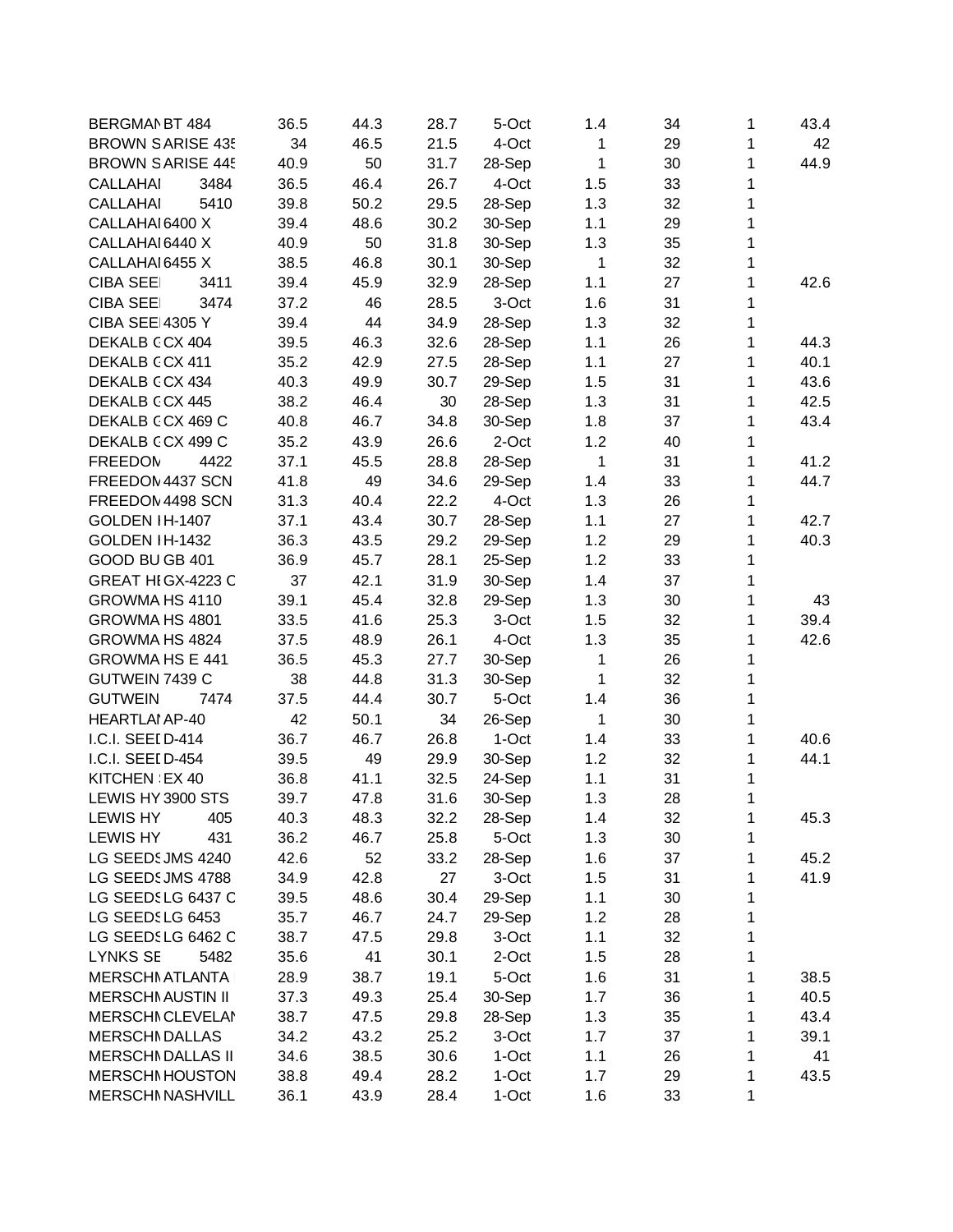| BERGMAN BT 484           | 36.5 | 44.3 | 28.7 | 5-Oct   | 1.4          | 34 | 1 | 43.4 |
|--------------------------|------|------|------|---------|--------------|----|---|------|
| <b>BROWN SARISE 435</b>  | 34   | 46.5 | 21.5 | 4-Oct   | $\mathbf{1}$ | 29 | 1 | 42   |
| <b>BROWN SARISE 445</b>  | 40.9 | 50   | 31.7 | 28-Sep  | 1            | 30 | 1 | 44.9 |
| <b>CALLAHAI</b><br>3484  | 36.5 | 46.4 | 26.7 | 4-Oct   | 1.5          | 33 | 1 |      |
| 5410<br><b>CALLAHAI</b>  | 39.8 | 50.2 | 29.5 | 28-Sep  | 1.3          | 32 | 1 |      |
| CALLAHAI 6400 X          | 39.4 | 48.6 | 30.2 | 30-Sep  | 1.1          | 29 | 1 |      |
| CALLAHAI 6440 X          | 40.9 | 50   | 31.8 | 30-Sep  | 1.3          | 35 | 1 |      |
| CALLAHAI 6455 X          | 38.5 | 46.8 | 30.1 | 30-Sep  | $\mathbf{1}$ | 32 | 1 |      |
| <b>CIBA SEE</b><br>3411  | 39.4 | 45.9 | 32.9 | 28-Sep  | 1.1          | 27 | 1 | 42.6 |
| <b>CIBA SEE</b><br>3474  | 37.2 | 46   | 28.5 | 3-Oct   | 1.6          | 31 | 1 |      |
| <b>CIBA SEE 4305 Y</b>   | 39.4 | 44   | 34.9 | 28-Sep  | 1.3          | 32 | 1 |      |
| DEKALB CCX 404           | 39.5 | 46.3 | 32.6 | 28-Sep  | 1.1          | 26 | 1 | 44.3 |
| DEKALB CCX 411           | 35.2 | 42.9 | 27.5 | 28-Sep  | 1.1          | 27 | 1 | 40.1 |
| DEKALB CCX 434           | 40.3 | 49.9 | 30.7 | 29-Sep  | 1.5          | 31 | 1 | 43.6 |
| DEKALB CCX 445           | 38.2 | 46.4 | 30   | 28-Sep  | 1.3          | 31 | 1 | 42.5 |
| DEKALB CCX 469 C         | 40.8 | 46.7 | 34.8 | 30-Sep  | 1.8          | 37 | 1 | 43.4 |
| DEKALB CCX 499 C         | 35.2 | 43.9 | 26.6 | 2-Oct   | 1.2          | 40 | 1 |      |
| <b>FREEDOM</b><br>4422   | 37.1 | 45.5 | 28.8 | 28-Sep  | $\mathbf{1}$ | 31 | 1 | 41.2 |
| FREEDOM 4437 SCN         | 41.8 | 49   | 34.6 | 29-Sep  | 1.4          | 33 | 1 | 44.7 |
| FREEDOM 4498 SCN         | 31.3 | 40.4 | 22.2 | 4-Oct   | 1.3          | 26 | 1 |      |
| GOLDEN IH-1407           | 37.1 | 43.4 | 30.7 | 28-Sep  | 1.1          | 27 | 1 | 42.7 |
| GOLDEN IH-1432           | 36.3 | 43.5 | 29.2 | 29-Sep  | 1.2          | 29 | 1 | 40.3 |
| GOOD BU GB 401           | 36.9 | 45.7 | 28.1 |         | 1.2          | 33 | 1 |      |
|                          |      |      |      | 25-Sep  |              |    |   |      |
| GREAT HIGX-4223 C        | 37   | 42.1 | 31.9 | 30-Sep  | 1.4          | 37 | 1 |      |
| GROWMA HS 4110           | 39.1 | 45.4 | 32.8 | 29-Sep  | 1.3          | 30 | 1 | 43   |
| GROWMA HS 4801           | 33.5 | 41.6 | 25.3 | 3-Oct   | 1.5          | 32 | 1 | 39.4 |
| GROWMA HS 4824           | 37.5 | 48.9 | 26.1 | 4-Oct   | 1.3          | 35 | 1 | 42.6 |
| <b>GROWMA HS E 441</b>   | 36.5 | 45.3 | 27.7 | 30-Sep  | 1            | 26 | 1 |      |
| GUTWEIN 7439 C           | 38   | 44.8 | 31.3 | 30-Sep  | 1            | 32 | 1 |      |
| 7474<br><b>GUTWEIN</b>   | 37.5 | 44.4 | 30.7 | 5-Oct   | 1.4          | 36 | 1 |      |
| <b>HEARTLAI AP-40</b>    | 42   | 50.1 | 34   | 26-Sep  | 1            | 30 | 1 |      |
| I.C.I. SEEI D-414        | 36.7 | 46.7 | 26.8 | 1-Oct   | 1.4          | 33 | 1 | 40.6 |
| I.C.I. SEEI D-454        | 39.5 | 49   | 29.9 | 30-Sep  | 1.2          | 32 | 1 | 44.1 |
| KITCHEN EX 40            | 36.8 | 41.1 | 32.5 | 24-Sep  | 1.1          | 31 | 1 |      |
| LEWIS HY 3900 STS        | 39.7 | 47.8 | 31.6 | 30-Sep  | 1.3          | 28 | 1 |      |
| <b>LEWIS HY</b><br>405   | 40.3 | 48.3 | 32.2 | 28-Sep  | 1.4          | 32 | 1 | 45.3 |
| <b>LEWIS HY</b><br>431   | 36.2 | 46.7 | 25.8 | 5-Oct   | 1.3          | 30 | 1 |      |
| LG SEEDS JMS 4240        | 42.6 | 52   | 33.2 | 28-Sep  | 1.6          | 37 | 1 | 45.2 |
| LG SEEDSJMS 4788         | 34.9 | 42.8 | 27   | 3-Oct   | 1.5          | 31 | 1 | 41.9 |
| LG SEEDSLG 6437 C        | 39.5 | 48.6 | 30.4 | 29-Sep  | 1.1          | 30 | 1 |      |
| LG SEEDSLG 6453          | 35.7 | 46.7 | 24.7 | 29-Sep  | 1.2          | 28 | 1 |      |
| LG SEEDSLG 6462 C        | 38.7 | 47.5 | 29.8 | 3-Oct   | 1.1          | 32 | 1 |      |
| <b>LYNKS SE</b><br>5482  | 35.6 | 41   | 30.1 | 2-Oct   | 1.5          | 28 | 1 |      |
| <b>MERSCHI ATLANTA</b>   | 28.9 | 38.7 | 19.1 | 5-Oct   | 1.6          | 31 | 1 | 38.5 |
| <b>MERSCHI AUSTIN II</b> | 37.3 | 49.3 | 25.4 | 30-Sep  | 1.7          | 36 | 1 | 40.5 |
| <b>MERSCHI CLEVELAI</b>  | 38.7 | 47.5 | 29.8 | 28-Sep  | 1.3          | 35 | 1 | 43.4 |
| <b>MERSCHI DALLAS</b>    | 34.2 | 43.2 | 25.2 | 3-Oct   | 1.7          | 37 | 1 | 39.1 |
| <b>MERSCHI DALLAS II</b> | 34.6 | 38.5 | 30.6 | $1-Oct$ | 1.1          | 26 | 1 | 41   |
| <b>MERSCHI HOUSTON</b>   | 38.8 | 49.4 | 28.2 | 1-Oct   | 1.7          | 29 | 1 | 43.5 |
| <b>MERSCHI NASHVILL</b>  | 36.1 | 43.9 | 28.4 | 1-Oct   | 1.6          | 33 | 1 |      |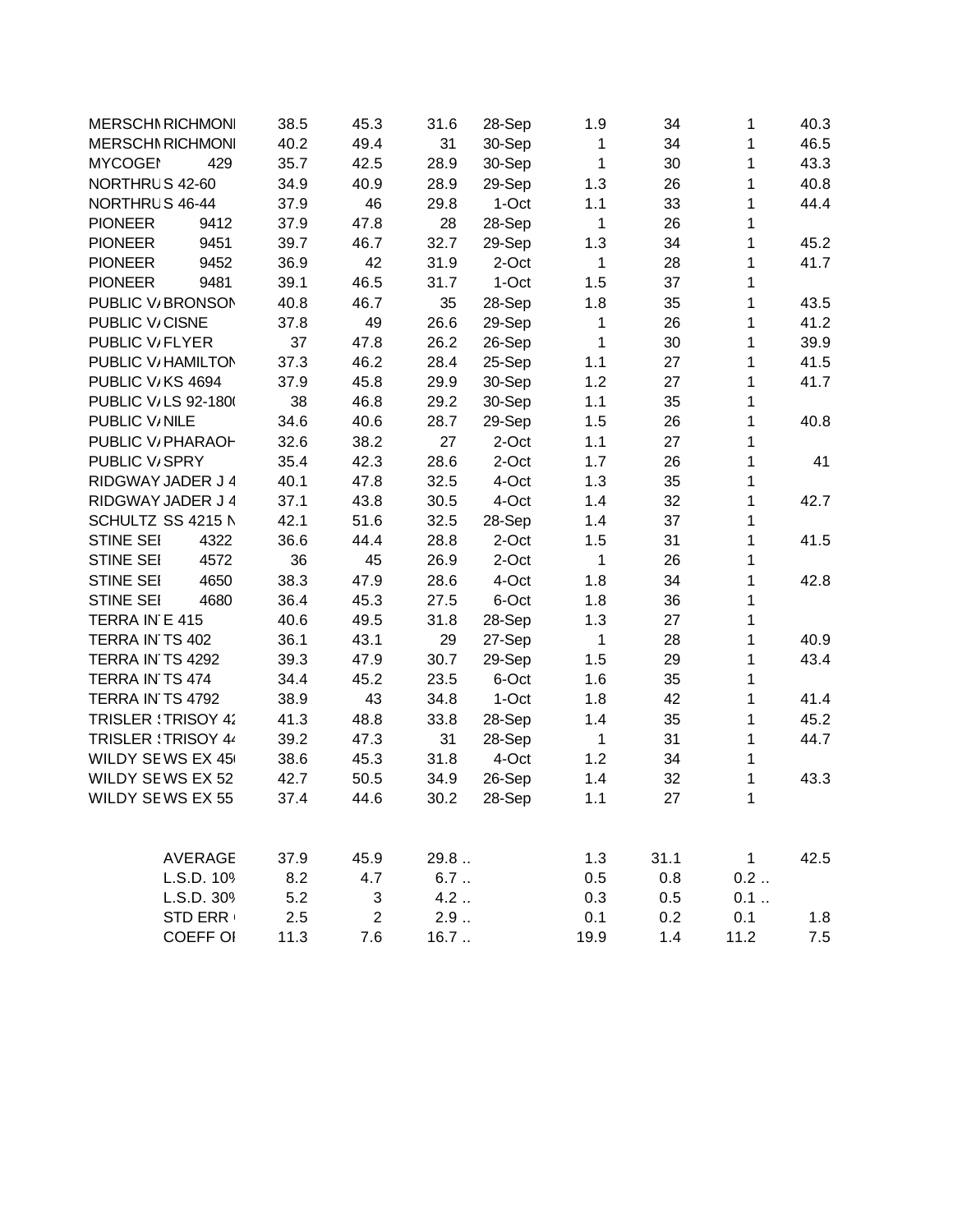| <b>MERSCHI RICHMONI</b>    |                | 38.5 | 45.3           | 31.6  | 28-Sep | 1.9          | 34   | 1            | 40.3 |
|----------------------------|----------------|------|----------------|-------|--------|--------------|------|--------------|------|
| <b>MERSCHI RICHMONI</b>    |                | 40.2 | 49.4           | 31    | 30-Sep | 1            | 34   | 1            | 46.5 |
| <b>MYCOGEI</b>             | 429            | 35.7 | 42.5           | 28.9  | 30-Sep | 1            | 30   | 1            | 43.3 |
| NORTHRUS 42-60             |                | 34.9 | 40.9           | 28.9  | 29-Sep | 1.3          | 26   | 1            | 40.8 |
| NORTHRUS 46-44             |                | 37.9 | 46             | 29.8  | 1-Oct  | 1.1          | 33   | 1            | 44.4 |
| <b>PIONEER</b>             | 9412           | 37.9 | 47.8           | 28    | 28-Sep | 1            | 26   | 1            |      |
| <b>PIONEER</b>             | 9451           | 39.7 | 46.7           | 32.7  | 29-Sep | 1.3          | 34   | 1            | 45.2 |
| <b>PIONEER</b>             | 9452           | 36.9 | 42             | 31.9  | 2-Oct  | 1            | 28   | 1            | 41.7 |
| <b>PIONEER</b>             | 9481           | 39.1 | 46.5           | 31.7  | 1-Oct  | 1.5          | 37   | 1            |      |
| PUBLIC V/BRONSON           |                | 40.8 | 46.7           | 35    | 28-Sep | 1.8          | 35   | 1            | 43.5 |
| PUBLIC V/CISNE             |                | 37.8 | 49             | 26.6  | 29-Sep | 1            | 26   | 1            | 41.2 |
| PUBLIC V/FLYER             |                | 37   | 47.8           | 26.2  | 26-Sep | 1            | 30   | 1            | 39.9 |
| PUBLIC V/ HAMILTON         |                | 37.3 | 46.2           | 28.4  | 25-Sep | 1.1          | 27   | 1            | 41.5 |
| PUBLIC V/KS 4694           |                | 37.9 | 45.8           | 29.9  | 30-Sep | 1.2          | 27   | 1            | 41.7 |
| PUBLIC V/LS 92-1800        |                | 38   | 46.8           | 29.2  | 30-Sep | 1.1          | 35   | 1            |      |
| PUBLIC V/NILE              |                | 34.6 | 40.6           | 28.7  | 29-Sep | 1.5          | 26   | 1            | 40.8 |
| PUBLIC V/ PHARAOH          |                | 32.6 | 38.2           | 27    | 2-Oct  | 1.1          | 27   | 1            |      |
| PUBLIC V <sub>i</sub> SPRY |                | 35.4 | 42.3           | 28.6  | 2-Oct  | 1.7          | 26   | 1            | 41   |
| RIDGWAY JADER J 4          |                | 40.1 | 47.8           | 32.5  | 4-Oct  | 1.3          | 35   | 1            |      |
| RIDGWAY JADER J 4          |                | 37.1 | 43.8           | 30.5  | 4-Oct  | 1.4          | 32   | 1            | 42.7 |
| SCHULTZ SS 4215 N          |                | 42.1 | 51.6           | 32.5  | 28-Sep | 1.4          | 37   | 1            |      |
| <b>STINE SEI</b>           | 4322           | 36.6 | 44.4           | 28.8  | 2-Oct  | 1.5          | 31   | 1            | 41.5 |
| <b>STINE SEI</b>           | 4572           | 36   | 45             | 26.9  | 2-Oct  | $\mathbf{1}$ | 26   | 1            |      |
| <b>STINE SEI</b>           | 4650           | 38.3 | 47.9           | 28.6  | 4-Oct  | 1.8          | 34   | 1            | 42.8 |
| <b>STINE SEI</b>           | 4680           | 36.4 | 45.3           | 27.5  | 6-Oct  | 1.8          | 36   | 1            |      |
| TERRA IN E 415             |                | 40.6 | 49.5           | 31.8  | 28-Sep | 1.3          | 27   | 1            |      |
| TERRA IN TS 402            |                | 36.1 | 43.1           | 29    | 27-Sep | 1            | 28   | 1            | 40.9 |
| TERRA IN TS 4292           |                | 39.3 | 47.9           | 30.7  | 29-Sep | 1.5          | 29   | 1            | 43.4 |
| TERRA IN TS 474            |                | 34.4 | 45.2           | 23.5  | 6-Oct  | 1.6          | 35   | 1            |      |
| TERRA IN TS 4792           |                | 38.9 | 43             | 34.8  | 1-Oct  | 1.8          | 42   | 1            | 41.4 |
| <b>TRISLER : TRISOY 42</b> |                | 41.3 | 48.8           | 33.8  | 28-Sep | 1.4          | 35   | 1            | 45.2 |
| TRISLER (TRISOY 44         |                | 39.2 | 47.3           | 31    | 28-Sep | 1            | 31   | 1            | 44.7 |
| WILDY SEWS EX 45           |                | 38.6 | 45.3           | 31.8  | 4-Oct  | 1.2          | 34   | 1            |      |
| <b>WILDY SEWS EX 52</b>    |                | 42.7 | 50.5           | 34.9  | 26-Sep | 1.4          | 32   | 1            | 43.3 |
| <b>WILDY SEWS EX 55</b>    |                | 37.4 | 44.6           | 30.2  | 28-Sep | 1.1          | 27   | 1            |      |
|                            | <b>AVERAGE</b> | 37.9 | 45.9           | 29.8  |        | 1.3          | 31.1 | $\mathbf{1}$ | 42.5 |
|                            | L.S.D. 109     | 8.2  | 4.7            | 6.7   |        | 0.5          | 0.8  | 0.2          |      |
|                            | L.S.D. 309     | 5.2  | 3              | 4.2   |        | 0.3          | 0.5  | 0.1          |      |
|                            | <b>STD ERR</b> | 2.5  | $\overline{2}$ | $2.9$ |        | 0.1          | 0.2  | 0.1          | 1.8  |
|                            | COEFF OI       | 11.3 | 7.6            | 16.7  |        | 19.9         | 1.4  | 11.2         | 7.5  |
|                            |                |      |                |       |        |              |      |              |      |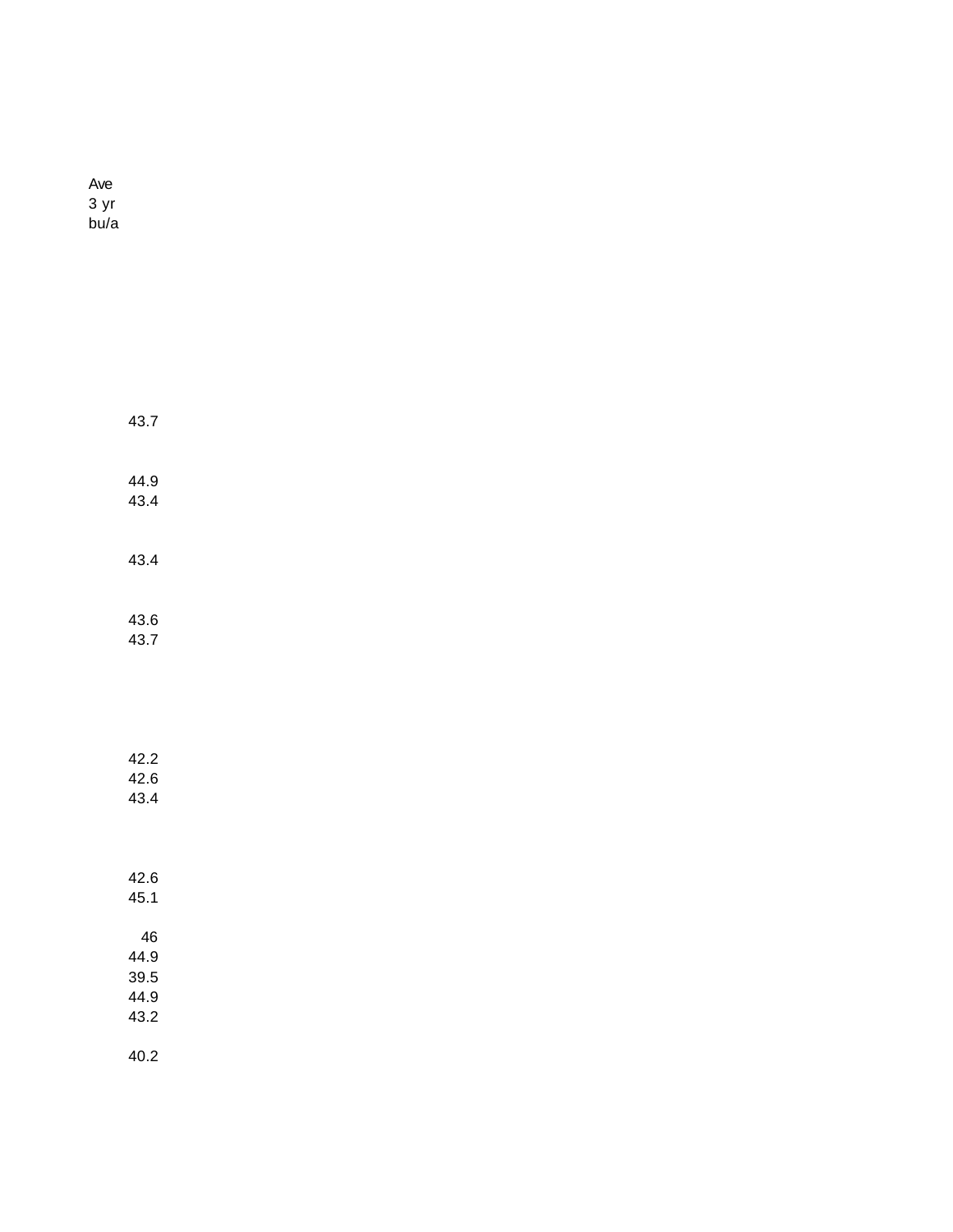Ave 3 yr bu/a

| 43.7                               |  |
|------------------------------------|--|
| 44.9<br>43.4                       |  |
| 43.4                               |  |
| 43.6<br>43.7                       |  |
|                                    |  |
| 42.2<br>42.6<br>43.4               |  |
| 42.6<br>45.1                       |  |
| 46<br>44.9<br>39.5<br>44.9<br>43.2 |  |
| 40.2                               |  |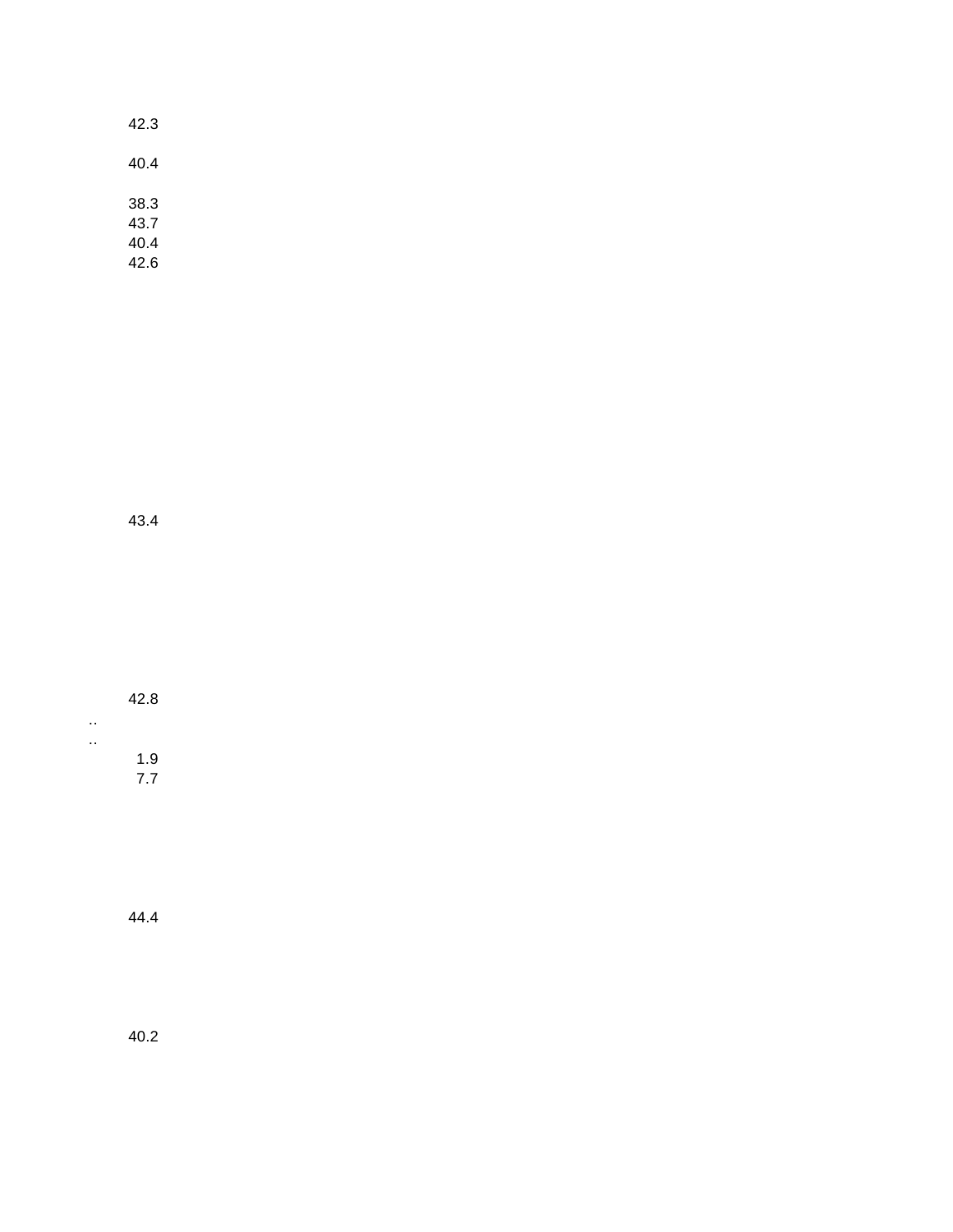| 42.3                         |  |
|------------------------------|--|
| 40.4                         |  |
| 38.3<br>43.7<br>40.4<br>42.6 |  |

43.4

| 42.8       |  |
|------------|--|
|            |  |
| 1.9<br>7.7 |  |

44.4

40.2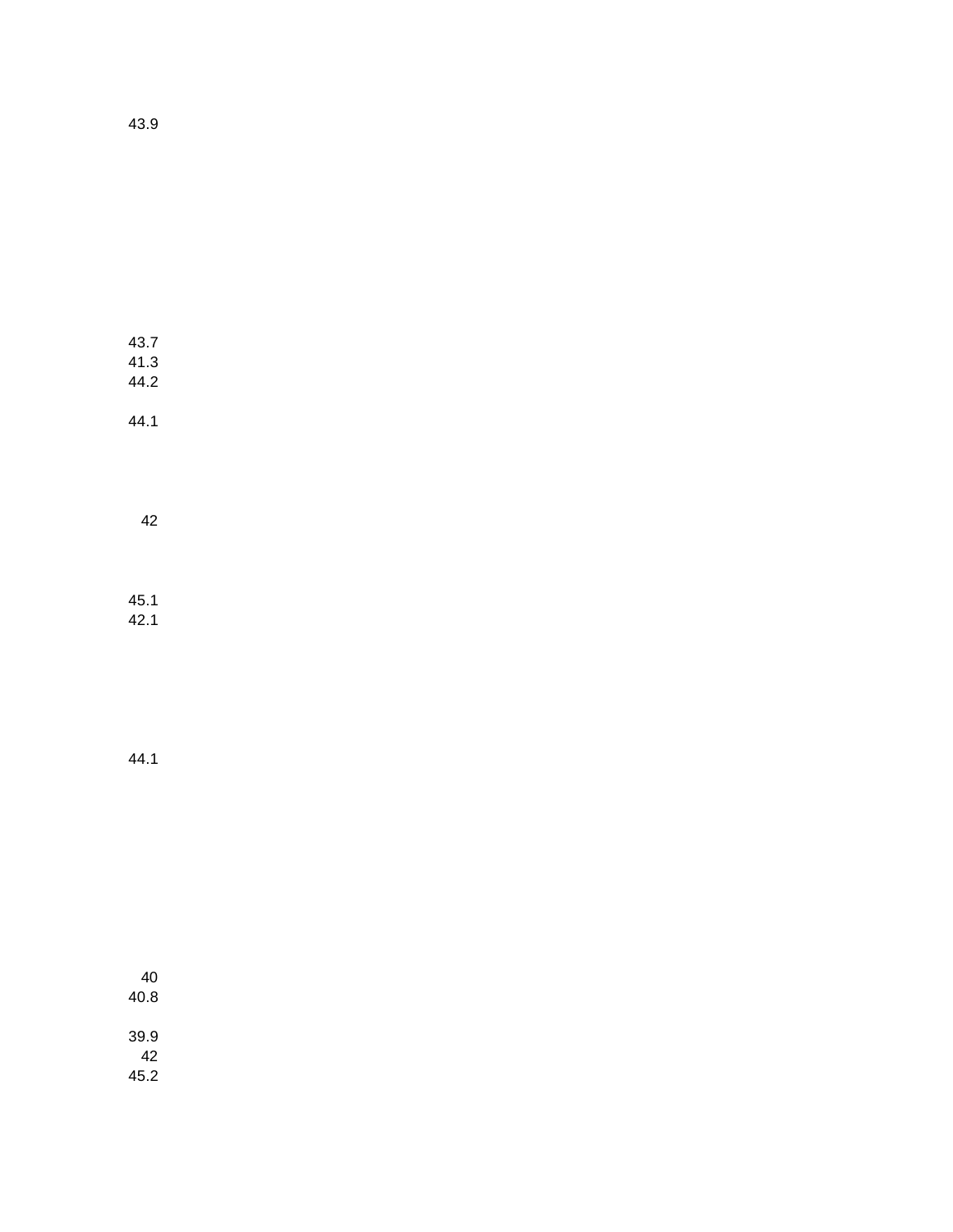43.7 41.3 44.2 44.1

42

45.1 42.1

44.1

40 40.8 39.9 42 45.2